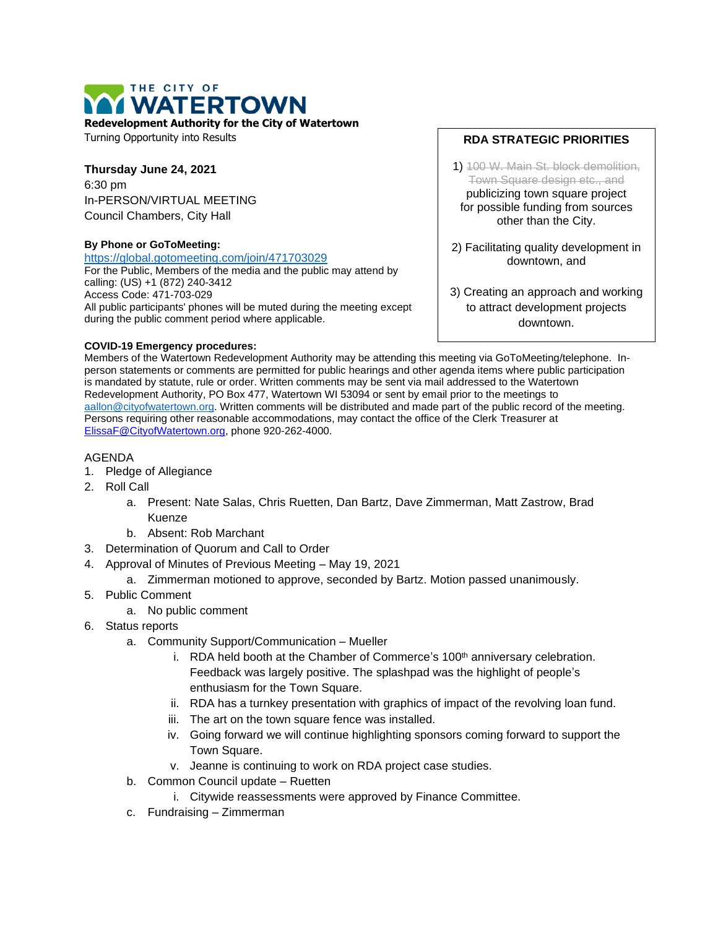

**Redevelopment Authority for the City of Watertown**

Turning Opportunity into Results

**Thursday June 24, 2021** 6:30 pm In-PERSON/VIRTUAL MEETING Council Chambers, City Hall

#### **By Phone or GoToMeeting:**

<https://global.gotomeeting.com/join/471703029> For the Public, Members of the media and the public may attend by calling: (US) +1 (872) 240-3412 Access Code: 471-703-029 All public participants' phones will be muted during the meeting except during the public comment period where applicable.

### **RDA STRATEGIC PRIORITIES**

1) 100 W. Main St. block demolition, Town Square design etc., and publicizing town square project for possible funding from sources other than the City.

2) Facilitating quality development in downtown, and

3) Creating an approach and working to attract development projects downtown.

#### **COVID-19 Emergency procedures:**

Members of the Watertown Redevelopment Authority may be attending this meeting via GoToMeeting/telephone. Inperson statements or comments are permitted for public hearings and other agenda items where public participation is mandated by statute, rule or order. Written comments may be sent via mail addressed to the Watertown Redevelopment Authority, PO Box 477, Watertown WI 53094 or sent by email prior to the meetings to [aallon@cityofwatertown.org.](mailto:aallon@cityofwatertown.org) Written comments will be distributed and made part of the public record of the meeting. Persons requiring other reasonable accommodations, may contact the office of the Clerk Treasurer at [ElissaF@CityofWatertown.org,](mailto:ElissaF@CityofWatertown.org) phone 920-262-4000.

## AGENDA

- 1. Pledge of Allegiance
- 2. Roll Call
	- a. Present: Nate Salas, Chris Ruetten, Dan Bartz, Dave Zimmerman, Matt Zastrow, Brad Kuenze
	- b. Absent: Rob Marchant
- 3. Determination of Quorum and Call to Order
- 4. Approval of Minutes of Previous Meeting May 19, 2021
	- a. Zimmerman motioned to approve, seconded by Bartz. Motion passed unanimously.
- 5. Public Comment
	- a. No public comment
- 6. Status reports
	- a. Community Support/Communication Mueller
		- i. RDA held booth at the Chamber of Commerce's 100<sup>th</sup> anniversary celebration. Feedback was largely positive. The splashpad was the highlight of people's enthusiasm for the Town Square.
		- ii. RDA has a turnkey presentation with graphics of impact of the revolving loan fund.
		- iii. The art on the town square fence was installed.
		- iv. Going forward we will continue highlighting sponsors coming forward to support the Town Square.
		- v. Jeanne is continuing to work on RDA project case studies.
	- b. Common Council update Ruetten
		- i. Citywide reassessments were approved by Finance Committee.
	- c. Fundraising Zimmerman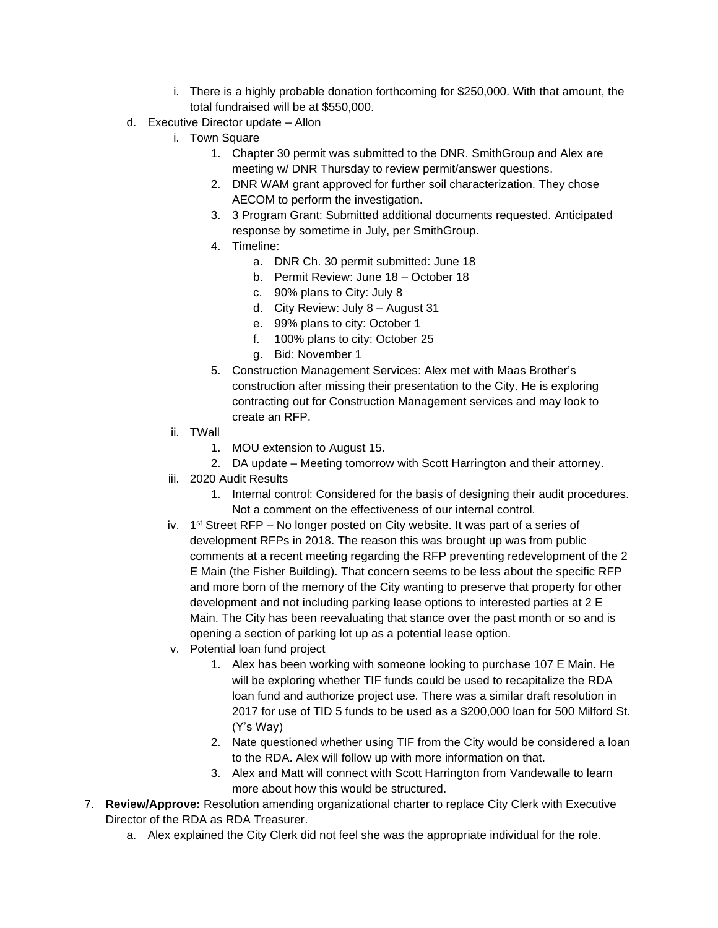- i. There is a highly probable donation forthcoming for \$250,000. With that amount, the total fundraised will be at \$550,000.
- d. Executive Director update Allon
	- i. Town Square
		- 1. Chapter 30 permit was submitted to the DNR. SmithGroup and Alex are meeting w/ DNR Thursday to review permit/answer questions.
		- 2. DNR WAM grant approved for further soil characterization. They chose AECOM to perform the investigation.
		- 3. 3 Program Grant: Submitted additional documents requested. Anticipated response by sometime in July, per SmithGroup.
		- 4. Timeline:
			- a. DNR Ch. 30 permit submitted: June 18
			- b. Permit Review: June 18 October 18
			- c. 90% plans to City: July 8
			- d. City Review: July 8 August 31
			- e. 99% plans to city: October 1
			- f. 100% plans to city: October 25
			- g. Bid: November 1
		- 5. Construction Management Services: Alex met with Maas Brother's construction after missing their presentation to the City. He is exploring contracting out for Construction Management services and may look to create an RFP.
	- ii. TWall
		- 1. MOU extension to August 15.
		- 2. DA update Meeting tomorrow with Scott Harrington and their attorney.
	- iii. 2020 Audit Results
		- 1. Internal control: Considered for the basis of designing their audit procedures. Not a comment on the effectiveness of our internal control.
	- iv. 1<sup>st</sup> Street RFP No longer posted on City website. It was part of a series of development RFPs in 2018. The reason this was brought up was from public comments at a recent meeting regarding the RFP preventing redevelopment of the 2 E Main (the Fisher Building). That concern seems to be less about the specific RFP and more born of the memory of the City wanting to preserve that property for other development and not including parking lease options to interested parties at 2 E Main. The City has been reevaluating that stance over the past month or so and is opening a section of parking lot up as a potential lease option.
	- v. Potential loan fund project
		- 1. Alex has been working with someone looking to purchase 107 E Main. He will be exploring whether TIF funds could be used to recapitalize the RDA loan fund and authorize project use. There was a similar draft resolution in 2017 for use of TID 5 funds to be used as a \$200,000 loan for 500 Milford St. (Y's Way)
		- 2. Nate questioned whether using TIF from the City would be considered a loan to the RDA. Alex will follow up with more information on that.
		- 3. Alex and Matt will connect with Scott Harrington from Vandewalle to learn more about how this would be structured.
- 7. **Review/Approve:** Resolution amending organizational charter to replace City Clerk with Executive Director of the RDA as RDA Treasurer.
	- a. Alex explained the City Clerk did not feel she was the appropriate individual for the role.